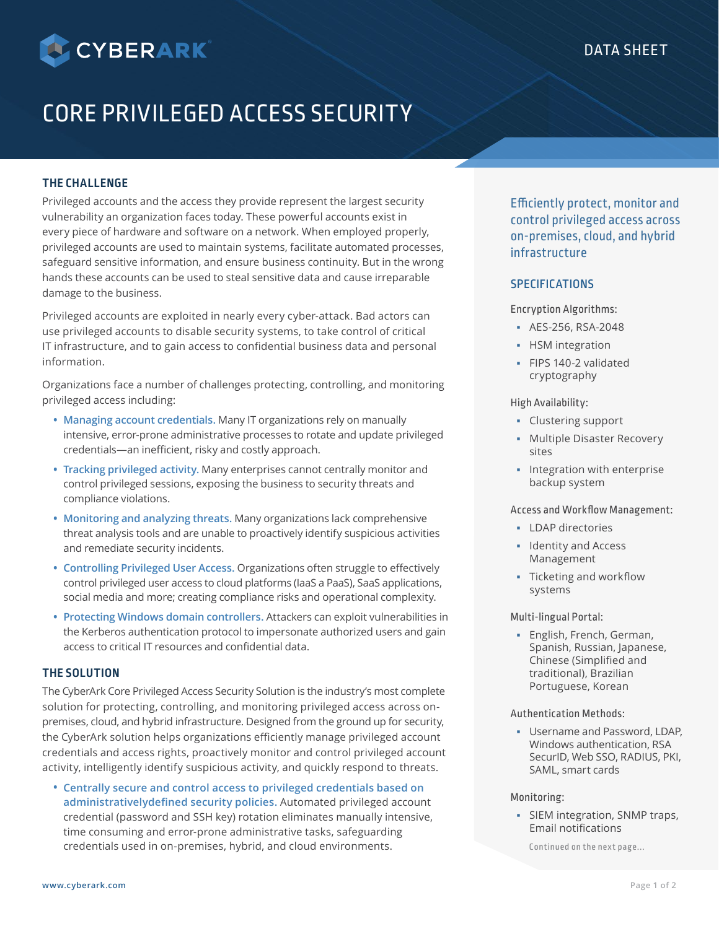

# CORE PRIVILEGED ACCESS SECURITY

# **THE CHALLENGE**

Privileged accounts and the access they provide represent the largest security vulnerability an organization faces today. These powerful accounts exist in every piece of hardware and software on a network. When employed properly, privileged accounts are used to maintain systems, facilitate automated processes, safeguard sensitive information, and ensure business continuity. But in the wrong hands these accounts can be used to steal sensitive data and cause irreparable damage to the business.

Privileged accounts are exploited in nearly every cyber-attack. Bad actors can use privileged accounts to disable security systems, to take control of critical IT infrastructure, and to gain access to confidential business data and personal information.

Organizations face a number of challenges protecting, controlling, and monitoring privileged access including:

- **Managing account credentials.** Many IT organizations rely on manually intensive, error-prone administrative processes to rotate and update privileged credentials—an inefficient, risky and costly approach.
- **Tracking privileged activity.** Many enterprises cannot centrally monitor and control privileged sessions, exposing the business to security threats and compliance violations.
- **Monitoring and analyzing threats.** Many organizations lack comprehensive threat analysis tools and are unable to proactively identify suspicious activities and remediate security incidents.
- **Controlling Privileged User Access.** Organizations often struggle to effectively control privileged user access to cloud platforms (IaaS a PaaS), SaaS applications, social media and more; creating compliance risks and operational complexity.
- **Protecting Windows domain controllers.** Attackers can exploit vulnerabilities in the Kerberos authentication protocol to impersonate authorized users and gain access to critical IT resources and confidential data.

# **THE SOLUTION**

The CyberArk Core Privileged Access Security Solution is the industry's most complete solution for protecting, controlling, and monitoring privileged access across onpremises, cloud, and hybrid infrastructure. Designed from the ground up for security, the CyberArk solution helps organizations efficiently manage privileged account credentials and access rights, proactively monitor and control privileged account activity, intelligently identify suspicious activity, and quickly respond to threats.

• **Centrally secure and control access to privileged credentials based on administrativelydefined security policies.** Automated privileged account credential (password and SSH key) rotation eliminates manually intensive, time consuming and error-prone administrative tasks, safeguarding credentials used in on-premises, hybrid, and cloud environments.

Efficiently protect, monitor and control privileged access across on-premises, cloud, and hybrid infrastructure

# **SPECIFICATIONS**

Encryption Algorithms:

- AES-256, RSA-2048
- **-** HSM integration
- FIPS 140-2 validated cryptography

High Availability:

- Clustering support
- Multiple Disaster Recovery sites
- Integration with enterprise backup system

## Access and Workflow Management:

- **LDAP** directories
- **Identity and Access** Management
- Ticketing and workflow systems

## Multi-lingual Portal:

**English, French, German,** Spanish, Russian, Japanese, Chinese (Simplified and traditional), Brazilian Portuguese, Korean

## Authentication Methods:

 Username and Password, LDAP, Windows authentication, RSA SecurID, Web SSO, RADIUS, PKI, SAML, smart cards

### Monitoring:

**SIEM integration, SNMP traps,** Email notifications

Continued on the next page...